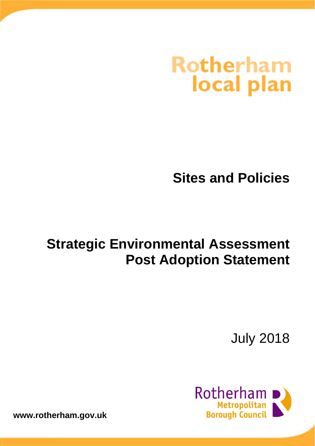# **Rotherham** local plan

# **Sites and Policies**

# **Strategic Environmental Assessment Post Adoption Statement**

July 2018



**www.rotherham.gov.uk**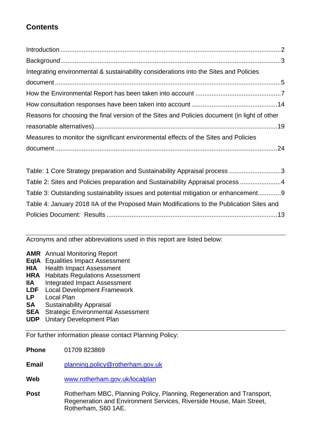# **Contents**

| Integrating environmental & sustainability considerations into the Sites and Policies        |  |
|----------------------------------------------------------------------------------------------|--|
|                                                                                              |  |
|                                                                                              |  |
|                                                                                              |  |
| Reasons for choosing the final version of the Sites and Policies document (in light of other |  |
|                                                                                              |  |
| Measures to monitor the significant environmental effects of the Sites and Policies          |  |
|                                                                                              |  |
|                                                                                              |  |

| Table: 1 Core Strategy preparation and Sustainability Appraisal process 3                 |  |
|-------------------------------------------------------------------------------------------|--|
| Table 2: Sites and Policies preparation and Sustainability Appraisal process 4            |  |
| Table 3: Outstanding sustainability issues and potential mitigation or enhancement9       |  |
| Table 4: January 2018 IIA of the Proposed Main Modifications to the Publication Sites and |  |
|                                                                                           |  |

Acronyms and other abbreviations used in this report are listed below:

- **AMR** Annual Monitoring Report
- **EqIA** Equalities Impact Assessment
- **HIA** Health Impact Assessment
- **HRA** Habitats Regulations Assessment
- **IIA** Integrated Impact Assessment
- **LDF** Local Development Framework
- **LP** Local Plan
- **SA** Sustainability Appraisal
- **SEA** Strategic Environmental Assessment
- **UDP** Unitary Development Plan

For further information please contact Planning Policy:

**Phone** 01709 823869

**Email** planning.policy@rotherham.gov.uk

- **Web** www.rotherham.gov.uk/localplan
- Post Rotherham MBC, Planning Policy, Planning, Regeneration and Transport, Regeneration and Environment Services, Riverside House, Main Street, Rotherham, S60 1AE.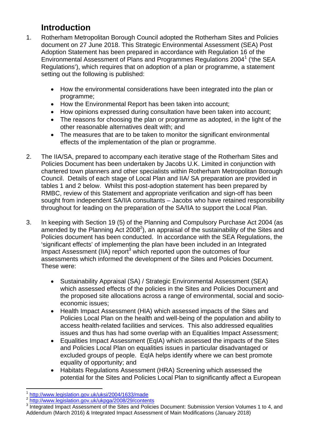# **Introduction**

- 1. Rotherham Metropolitan Borough Council adopted the Rotherham Sites and Policies document on 27 June 2018. This Strategic Environmental Assessment (SEA) Post Adoption Statement has been prepared in accordance with Regulation 16 of the Environmental Assessment of Plans and Programmes Regulations 2004<sup>1</sup> ('the SEA Regulations'), which requires that on adoption of a plan or programme, a statement setting out the following is published:
	- How the environmental considerations have been integrated into the plan or programme;
	- How the Environmental Report has been taken into account;
	- How opinions expressed during consultation have been taken into account;
	- The reasons for choosing the plan or programme as adopted, in the light of the other reasonable alternatives dealt with; and
	- The measures that are to be taken to monitor the significant environmental effects of the implementation of the plan or programme.
- 2. The IIA/SA, prepared to accompany each iterative stage of the Rotherham Sites and Policies Document has been undertaken by Jacobs U.K. Limited in conjunction with chartered town planners and other specialists within Rotherham Metropolitan Borough Council. Details of each stage of Local Plan and IIA/ SA preparation are provided in tables 1 and 2 below. Whilst this post-adoption statement has been prepared by RMBC, review of this Statement and appropriate verification and sign-off has been sought from independent SA/IIA consultants – Jacobs who have retained responsibility throughout for leading on the preparation of the SA/IIA to support the Local Plan.
- 3. In keeping with Section 19 (5) of the Planning and Compulsory Purchase Act 2004 (as amended by the Planning Act 2008<sup>2</sup>), an appraisal of the sustainability of the Sites and Policies document has been conducted. In accordance with the SEA Regulations, the 'significant effects' of implementing the plan have been included in an Integrated Impact Assessment (IIA) report<sup>3</sup> which reported upon the outcomes of four assessments which informed the development of the Sites and Policies Document. These were:
	- Sustainability Appraisal (SA) / Strategic Environmental Assessment (SEA) which assessed effects of the policies in the Sites and Policies Document and the proposed site allocations across a range of environmental, social and socioeconomic issues;
	- Health Impact Assessment (HIA) which assessed impacts of the Sites and Policies Local Plan on the health and well-being of the population and ability to access health-related facilities and services. This also addressed equalities issues and thus has had some overlap with an Equalities Impact Assessment;
	- Equalities Impact Assessment (EqIA) which assessed the impacts of the Sites and Policies Local Plan on equalities issues in particular disadvantaged or excluded groups of people. EqIA helps identify where we can best promote equality of opportunity; and
	- Habitats Regulations Assessment (HRA) Screening which assessed the potential for the Sites and Policies Local Plan to significantly affect a European

<sup>&</sup>lt;sup>1</sup> http://www.legislation.gov.uk/uksi/2004/1633/made<br><sup>2</sup> http://www.legislation.gov.uk/ukpga/2008/29/contents

Integrated Impact Assessment of the Sites and Policies Document: Submission Version Volumes 1 to 4, and Addendum (March 2016) & Integrated Impact Assessment of Main Modifications (January 2018)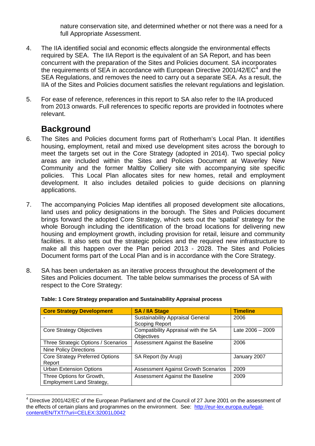nature conservation site, and determined whether or not there was a need for a full Appropriate Assessment.

- 4. The IIA identified social and economic effects alongside the environmental effects required by SEA. The IIA Report is the equivalent of an SA Report, and has been concurrent with the preparation of the Sites and Policies document. SA incorporates the requirements of SEA in accordance with European Directive 2001/42/EC $4$  and the SEA Regulations, and removes the need to carry out a separate SEA. As a result, the IIA of the Sites and Policies document satisfies the relevant regulations and legislation.
- 5. For ease of reference, references in this report to SA also refer to the IIA produced from 2013 onwards. Full references to specific reports are provided in footnotes where relevant.

# **Background**

l

- 6. The Sites and Policies document forms part of Rotherham's Local Plan. It identifies housing, employment, retail and mixed use development sites across the borough to meet the targets set out in the Core Strategy (adopted in 2014). Two special policy areas are included within the Sites and Policies Document at Waverley New Community and the former Maltby Colliery site with accompanying site specific policies. This Local Plan allocates sites for new homes, retail and employment development. It also includes detailed policies to guide decisions on planning applications.
- 7. The accompanying Policies Map identifies all proposed development site allocations, land uses and policy designations in the borough. The Sites and Policies document brings forward the adopted Core Strategy, which sets out the 'spatial' strategy for the whole Borough including the identification of the broad locations for delivering new housing and employment growth, including provision for retail, leisure and community facilities. It also sets out the strategic policies and the required new infrastructure to make all this happen over the Plan period 2013 - 2028. The Sites and Policies Document forms part of the Local Plan and is in accordance with the Core Strategy.
- 8. SA has been undertaken as an iterative process throughout the development of the Sites and Policies document. The table below summarises the process of SA with respect to the Core Strategy:

| <b>Core Strategy Development</b>                       | <b>SA / IIA Stage</b>                                            | <b>Timeline</b>    |
|--------------------------------------------------------|------------------------------------------------------------------|--------------------|
|                                                        | <b>Sustainability Appraisal General</b><br><b>Scoping Report</b> | 2006               |
| <b>Core Strategy Objectives</b>                        | Compatibility Appraisal with the SA<br>Objectives                | Late $2006 - 2009$ |
| Three Strategic Options / Scenarios                    | Assessment Against the Baseline                                  | 2006               |
| <b>Nine Policy Directions</b>                          |                                                                  |                    |
| <b>Core Strategy Preferred Options</b><br>Report       | SA Report (by Arup)                                              | January 2007       |
| <b>Urban Extension Options</b>                         | <b>Assessment Against Growth Scenarios</b>                       | 2009               |
| Three Options for Growth,<br>Employment Land Strategy, | Assessment Against the Baseline                                  | 2009               |

#### **Table: 1 Core Strategy preparation and Sustainability Appraisal process**

<sup>4</sup> Directive 2001/42/EC of the European Parliament and of the Council of 27 June 2001 on the assessment of the effects of certain plans and programmes on the environment. See: http://eur-lex.europa.eu/legalcontent/EN/TXT/?uri=CELEX:32001L0042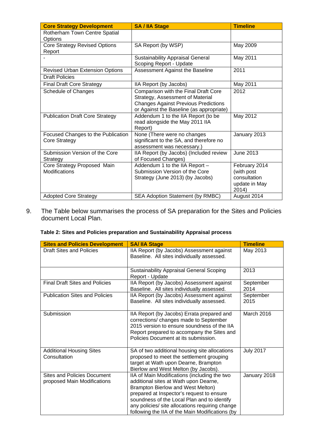| <b>Core Strategy Development</b>                    | <b>SA / IIA Stage</b>                                                                                                                                               | <b>Timeline</b>                                                       |
|-----------------------------------------------------|---------------------------------------------------------------------------------------------------------------------------------------------------------------------|-----------------------------------------------------------------------|
| Rotherham Town Centre Spatial<br>Options            |                                                                                                                                                                     |                                                                       |
| <b>Core Strategy Revised Options</b><br>Report      | SA Report (by WSP)                                                                                                                                                  | May 2009                                                              |
|                                                     | <b>Sustainability Appraisal General</b><br>Scoping Report - Update                                                                                                  | May 2011                                                              |
| <b>Revised Urban Extension Options</b>              | Assessment Against the Baseline                                                                                                                                     | 2011                                                                  |
| <b>Draft Policies</b>                               |                                                                                                                                                                     |                                                                       |
| <b>Final Draft Core Strategy</b>                    | IIA Report (by Jacobs)                                                                                                                                              | May 2011                                                              |
| Schedule of Changes                                 | Comparison with the Final Draft Core<br>Strategy, Assessment of Material<br><b>Changes Against Previous Predictions</b><br>or Against the Baseline (as appropriate) | 2012                                                                  |
| <b>Publication Draft Core Strategy</b>              | Addendum 1 to the IIA Report (to be<br>read alongside the May 2011 IIA<br>Report)                                                                                   | May 2012                                                              |
| Focused Changes to the Publication<br>Core Strategy | None (There were no changes<br>significant to the SA, and therefore no<br>assessment was necessary.)                                                                | January 2013                                                          |
| Submission Version of the Core<br>Strategy          | IIA Report (by Jacobs) (Included review<br>of Focused Changes)                                                                                                      | June 2013                                                             |
| Core Strategy Proposed Main<br>Modifications        | Addendum 1 to the IIA Report -<br>Submission Version of the Core<br>Strategy (June 2013) (by Jacobs)                                                                | February 2014<br>(with post<br>consultation<br>update in May<br>2014) |
| <b>Adopted Core Strategy</b>                        | SEA Adoption Statement (by RMBC)                                                                                                                                    | August 2014                                                           |

9. The Table below summarises the process of SA preparation for the Sites and Policies document Local Plan.

#### **Table 2: Sites and Policies preparation and Sustainability Appraisal process**

| <b>Sites and Policies Development</b>                             | <b>SA/IIA Stage</b>                                                                                                                                                                                                                                                                                                          | <b>Timeline</b>   |
|-------------------------------------------------------------------|------------------------------------------------------------------------------------------------------------------------------------------------------------------------------------------------------------------------------------------------------------------------------------------------------------------------------|-------------------|
| <b>Draft Sites and Policies</b>                                   | IIA Report (by Jacobs) Assessment against<br>Baseline. All sites individually assessed.                                                                                                                                                                                                                                      | May 2013          |
|                                                                   | <b>Sustainability Appraisal General Scoping</b><br>Report - Update                                                                                                                                                                                                                                                           | 2013              |
| <b>Final Draft Sites and Policies</b>                             | IIA Report (by Jacobs) Assessment against<br>Baseline. All sites individually assessed.                                                                                                                                                                                                                                      | September<br>2014 |
| <b>Publication Sites and Policies</b>                             | IIA Report (by Jacobs) Assessment against<br>Baseline. All sites individually assessed.                                                                                                                                                                                                                                      | September<br>2015 |
| Submission                                                        | IIA Report (by Jacobs) Errata prepared and<br>corrections/ changes made to September<br>2015 version to ensure soundness of the IIA<br>Report prepared to accompany the Sites and<br>Policies Document at its submission.                                                                                                    | March 2016        |
| <b>Additional Housing Sites</b><br>Consultation                   | SA of two additional housing site allocations<br>proposed to meet the settlement grouping<br>target at Wath upon Dearne, Brampton<br>Bierlow and West Melton (by Jacobs).                                                                                                                                                    | <b>July 2017</b>  |
| <b>Sites and Policies Document</b><br>proposed Main Modifications | IIA of Main Modifications (including the two<br>additional sites at Wath upon Dearne,<br>Brampton Bierlow and West Melton)<br>prepared at Inspector's request to ensure<br>soundness of the Local Plan and to identify<br>any policies/ site allocations requiring change<br>following the IIA of the Main Modifications (by | January 2018      |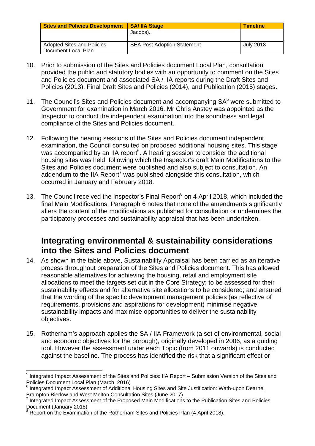| <b>Sites and Policies Development</b> | <b>SA/ IIA Stage</b>               | <b>Timeline</b> |
|---------------------------------------|------------------------------------|-----------------|
|                                       | Jacobs).                           |                 |
|                                       |                                    |                 |
| Adopted Sites and Policies            | <b>SEA Post Adoption Statement</b> | July 2018       |
| Document Local Plan                   |                                    |                 |

- 10. Prior to submission of the Sites and Policies document Local Plan, consultation provided the public and statutory bodies with an opportunity to comment on the Sites and Policies document and associated SA / IIA reports during the Draft Sites and Policies (2013), Final Draft Sites and Policies (2014), and Publication (2015) stages.
- 11. The Council's Sites and Policies document and accompanying  $SA<sup>5</sup>$  were submitted to Government for examination in March 2016. Mr Chris Anstey was appointed as the Inspector to conduct the independent examination into the soundness and legal compliance of the Sites and Policies document.
- 12. Following the hearing sessions of the Sites and Policies document independent examination, the Council consulted on proposed additional housing sites. This stage was accompanied by an IIA report<sup>6</sup>. A hearing session to consider the additional housing sites was held, following which the Inspector's draft Main Modifications to the Sites and Policies document were published and also subject to consultation. An addendum to the IIA Report<sup>7</sup> was published alongside this consultation, which occurred in January and February 2018.
- 13. The Council received the Inspector's Final Report<sup>8</sup> on 4 April 2018, which included the final Main Modifications. Paragraph 6 notes that none of the amendments significantly alters the content of the modifications as published for consultation or undermines the participatory processes and sustainability appraisal that has been undertaken.

# **Integrating environmental & sustainability considerations into the Sites and Policies document**

- 14. As shown in the table above, Sustainability Appraisal has been carried as an iterative process throughout preparation of the Sites and Policies document. This has allowed reasonable alternatives for achieving the housing, retail and employment site allocations to meet the targets set out in the Core Strategy; to be assessed for their sustainability effects and for alternative site allocations to be considered; and ensured that the wording of the specific development management policies (as reflective of requirements, provisions and aspirations for development) minimise negative sustainability impacts and maximise opportunities to deliver the sustainability objectives.
- 15. Rotherham's approach applies the SA / IIA Framework (a set of environmental, social and economic objectives for the borough), originally developed in 2006, as a guiding tool. However the assessment under each Topic (from 2011 onwards) is conducted against the baseline. The process has identified the risk that a significant effect or

<sup>&</sup>lt;sup>5</sup> Integrated Impact Assessment of the Sites and Policies: IIA Report – Submission Version of the Sites and Policies Document Local Plan (March 2016)

<sup>6</sup> Integrated Impact Assessment of Additional Housing Sites and Site Justification: Wath-upon Dearne, Brampton Bierlow and West Melton Consultation Sites (June 2017)

<sup>7</sup> Integrated Impact Assessment of the Proposed Main Modifications to the Publication Sites and Policies Document (January 2018)

<sup>&</sup>lt;sup>8</sup> Report on the Examination of the Rotherham Sites and Policies Plan (4 April 2018).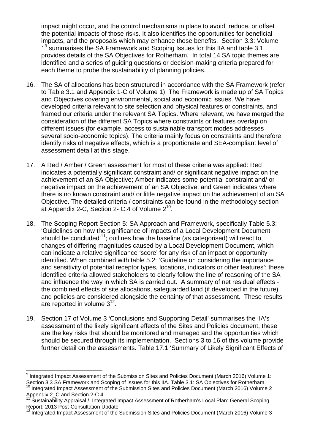impact might occur, and the control mechanisms in place to avoid, reduce, or offset the potential impacts of those risks. It also identifies the opportunities for beneficial impacts, and the proposals which may enhance those benefits. Section 3.3: Volume 1<sup>9</sup> summarises the SA Framework and Scoping Issues for this IIA and table 3.1 provides details of the SA Objectives for Rotherham. In total 14 SA topic themes are identified and a series of guiding questions or decision-making criteria prepared for each theme to probe the sustainability of planning policies.

- 16. The SA of allocations has been structured in accordance with the SA Framework (refer to Table 3.1 and Appendix 1-C of Volume 1). The Framework is made up of SA Topics and Objectives covering environmental, social and economic issues. We have developed criteria relevant to site selection and physical features or constraints, and framed our criteria under the relevant SA Topics. Where relevant, we have merged the consideration of the different SA Topics where constraints or features overlap on different issues (for example, access to sustainable transport modes addresses several socio-economic topics). The criteria mainly focus on constraints and therefore identify risks of negative effects, which is a proportionate and SEA-compliant level of assessment detail at this stage.
- 17. A Red / Amber / Green assessment for most of these criteria was applied: Red indicates a potentially significant constraint and/ or significant negative impact on the achievement of an SA Objective; Amber indicates some potential constraint and/ or negative impact on the achievement of an SA Objective; and Green indicates where there is no known constraint and/ or little negative impact on the achievement of an SA Objective. The detailed criteria / constraints can be found in the methodology section at Appendix 2-C, Section 2- C.4 of Volume 210.
- 18. The Scoping Report Section 5: SA Approach and Framework, specifically Table 5.3: 'Guidelines on how the significance of impacts of a Local Development Document should be concluded<sup>'11</sup>; outlines how the baseline (as categorised) will react to changes of differing magnitudes caused by a Local Development Document, which can indicate a relative significance 'score' for any risk of an impact or opportunity identified. When combined with table 5.2: 'Guideline on considering the importance and sensitivity of potential receptor types, locations, indicators or other features'; these identified criteria allowed stakeholders to clearly follow the line of reasoning of the SA and influence the way in which SA is carried out. A summary of net residual effects the combined effects of site allocations, safeguarded land (if developed in the future) and policies are considered alongside the certainty of that assessment. These results are reported in volume  $3^{12}$ .
- 19. Section 17 of Volume 3 'Conclusions and Supporting Detail' summarises the IIA's assessment of the likely significant effects of the Sites and Policies document, these are the key risks that should be monitored and managed and the opportunities which should be secured through its implementation. Sections 3 to 16 of this volume provide further detail on the assessments. Table 17.1 'Summary of Likely Significant Effects of

<sup>&</sup>lt;sup>9</sup> Integrated Impact Assessment of the Submission Sites and Policies Document (March 2016) Volume 1: Section 3.3 SA Framework and Scoping of Issues for this IIA. Table 3.1: SA Objectives for Rotherham.<br><sup>10</sup> Integrated Impact Assessment of the Submission Sites and Policies Document (March 2016) Volume 2

Appendix 2\_C and Section 2-C.4<br><sup>11</sup> Suddition <sup>20</sup>

Sustainability Appraisal /. Integrated Impact Assessment of Rotherham's Local Plan: General Scoping Report: 2013 Post-Consultation Update

 $12$  Integrated Impact Assessment of the Submission Sites and Policies Document (March 2016) Volume 3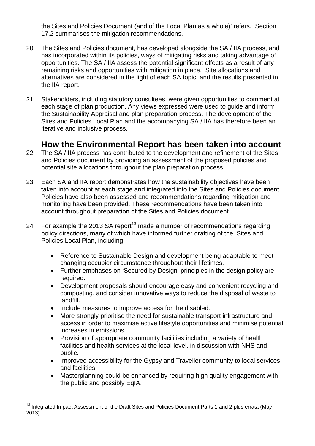the Sites and Policies Document (and of the Local Plan as a whole)' refers. Section 17.2 summarises the mitigation recommendations.

- 20. The Sites and Policies document, has developed alongside the SA / IIA process, and has incorporated within its policies, ways of mitigating risks and taking advantage of opportunities. The SA / IIA assess the potential significant effects as a result of any remaining risks and opportunities with mitigation in place. Site allocations and alternatives are considered in the light of each SA topic, and the results presented in the IIA report.
- 21. Stakeholders, including statutory consultees, were given opportunities to comment at each stage of plan production. Any views expressed were used to guide and inform the Sustainability Appraisal and plan preparation process. The development of the Sites and Policies Local Plan and the accompanying SA / IIA has therefore been an iterative and inclusive process.

# **How the Environmental Report has been taken into account**

- 22. The SA / IIA process has contributed to the development and refinement of the Sites and Policies document by providing an assessment of the proposed policies and potential site allocations throughout the plan preparation process.
- 23. Each SA and IIA report demonstrates how the sustainability objectives have been taken into account at each stage and integrated into the Sites and Policies document. Policies have also been assessed and recommendations regarding mitigation and monitoring have been provided. These recommendations have been taken into account throughout preparation of the Sites and Policies document.
- 24. For example the 2013 SA report<sup>13</sup> made a number of recommendations regarding policy directions, many of which have informed further drafting of the Sites and Policies Local Plan, including:
	- Reference to Sustainable Design and development being adaptable to meet changing occupier circumstance throughout their lifetimes.
	- Further emphases on 'Secured by Design' principles in the design policy are required.
	- Development proposals should encourage easy and convenient recycling and composting, and consider innovative ways to reduce the disposal of waste to landfill.
	- Include measures to improve access for the disabled.

- More strongly prioritise the need for sustainable transport infrastructure and access in order to maximise active lifestyle opportunities and minimise potential increases in emissions.
- Provision of appropriate community facilities including a variety of health facilities and health services at the local level, in discussion with NHS and public.
- Improved accessibility for the Gypsy and Traveller community to local services and facilities.
- Masterplanning could be enhanced by requiring high quality engagement with the public and possibly EqIA.

 $13$  Integrated Impact Assessment of the Draft Sites and Policies Document Parts 1 and 2 plus errata (May 2013)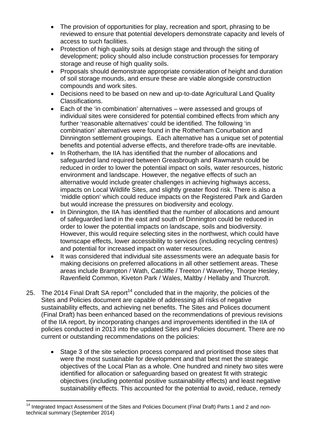- The provision of opportunities for play, recreation and sport, phrasing to be reviewed to ensure that potential developers demonstrate capacity and levels of access to such facilities.
- Protection of high quality soils at design stage and through the siting of development; policy should also include construction processes for temporary storage and reuse of high quality soils.
- Proposals should demonstrate appropriate consideration of height and duration of soil storage mounds, and ensure these are viable alongside construction compounds and work sites.
- Decisions need to be based on new and up-to-date Agricultural Land Quality Classifications.
- Each of the 'in combination' alternatives were assessed and groups of individual sites were considered for potential combined effects from which any further 'reasonable alternatives' could be identified. The following 'in combination' alternatives were found in the Rotherham Conurbation and Dinnington settlement groupings. Each alternative has a unique set of potential benefits and potential adverse effects, and therefore trade-offs are inevitable.
- In Rotherham, the IIA has identified that the number of allocations and safeguarded land required between Greasbrough and Rawmarsh could be reduced in order to lower the potential impact on soils, water resources, historic environment and landscape. However, the negative effects of such an alternative would include greater challenges in achieving highways access, impacts on Local Wildlife Sites, and slightly greater flood risk. There is also a 'middle option' which could reduce impacts on the Registered Park and Garden but would increase the pressures on biodiversity and ecology.
- In Dinnington, the IIA has identified that the number of allocations and amount of safeguarded land in the east and south of Dinnington could be reduced in order to lower the potential impacts on landscape, soils and biodiversity. However, this would require selecting sites in the northwest, which could have townscape effects, lower accessibility to services (including recycling centres) and potential for increased impact on water resources.
- It was considered that individual site assessments were an adequate basis for making decisions on preferred allocations in all other settlement areas. These areas include Brampton / Wath, Catcliffe / Treeton / Waverley, Thorpe Hesley, Ravenfield Common, Kiveton Park / Wales, Maltby / Hellaby and Thurcroft.
- 25. The 2014 Final Draft SA report<sup>14</sup> concluded that in the majority, the policies of the Sites and Policies document are capable of addressing all risks of negative sustainability effects, and achieving net benefits. The Sites and Polices document (Final Draft) has been enhanced based on the recommendations of previous revisions of the IIA report, by incorporating changes and improvements identified in the IIA of policies conducted in 2013 into the updated Sites and Policies document. There are no current or outstanding recommendations on the policies:
	- Stage 3 of the site selection process compared and prioritised those sites that were the most sustainable for development and that best met the strategic objectives of the Local Plan as a whole. One hundred and ninety two sites were identified for allocation or safeguarding based on greatest fit with strategic objectives (including potential positive sustainability effects) and least negative sustainability effects. This accounted for the potential to avoid, reduce, remedy

l Integrated Impact Assessment of the Sites and Policies Document (Final Draft) Parts 1 and 2 and nontechnical summary (September 2014)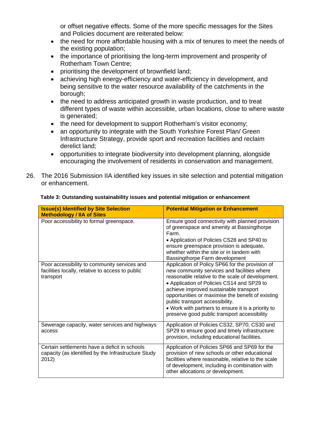or offset negative effects. Some of the more specific messages for the Sites and Policies document are reiterated below:

- the need for more affordable housing with a mix of tenures to meet the needs of the existing population;
- the importance of prioritising the long-term improvement and prosperity of Rotherham Town Centre;
- prioritising the development of brownfield land;
- achieving high energy-efficiency and water-efficiency in development, and being sensitive to the water resource availability of the catchments in the borough;
- the need to address anticipated growth in waste production, and to treat different types of waste within accessible, urban locations, close to where waste is generated;
- the need for development to support Rotherham's visitor economy;
- an opportunity to integrate with the South Yorkshire Forest Plan/ Green Infrastructure Strategy, provide sport and recreation facilities and reclaim derelict land;
- opportunities to integrate biodiversity into development planning, alongside encouraging the involvement of residents in conservation and management.
- 26. The 2016 Submission IIA identified key issues in site selection and potential mitigation or enhancement.

| <b>Issue(s) Identified by Site Selection</b><br><b>Methodology / IIA of Sites</b>                             | <b>Potential Mitigation or Enhancement</b>                                                                                                                                                                                                                                                                                                                                                                                               |
|---------------------------------------------------------------------------------------------------------------|------------------------------------------------------------------------------------------------------------------------------------------------------------------------------------------------------------------------------------------------------------------------------------------------------------------------------------------------------------------------------------------------------------------------------------------|
| Poor accessibility to formal greenspace.                                                                      | Ensure good connectivity with planned provision<br>of greenspace and amenity at Bassingthorpe<br>Farm.<br>• Application of Policies CS28 and SP40 to<br>ensure greenspace provision is adequate,<br>whether within the site or in tandem with<br>Bassingthorpe Farm development                                                                                                                                                          |
| Poor accessibility to community services and<br>facilities locally, relative to access to public<br>transport | Application of Policy SP66 for the provision of<br>new community services and facilities where<br>reasonable relative to the scale of development.<br>• Application of Policies CS14 and SP29 to<br>achieve improved sustainable transport<br>opportunities or maximise the benefit of existing<br>public transport accessibility.<br>• Work with partners to ensure it is a priority to<br>preserve good public transport accessibility |
| Sewerage capacity, water services and highways<br>access                                                      | Application of Policies CS32, SP70, CS30 and<br>SP29 to ensure good and timely infrastructure<br>provision, including educational facilities.                                                                                                                                                                                                                                                                                            |
| Certain settlements have a deficit in schools<br>capacity (as identified by the Infrastructure Study<br>2012) | Application of Policies SP66 and SP69 for the<br>provision of new schools or other educational<br>facilities where reasonable, relative to the scale<br>of development, including in combination with<br>other allocations or development.                                                                                                                                                                                               |

#### **Table 3: Outstanding sustainability issues and potential mitigation or enhancement**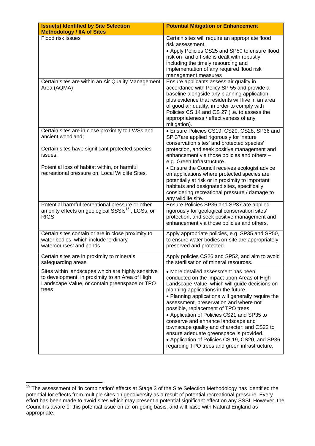| <b>Issue(s) Identified by Site Selection</b><br><b>Methodology / IIA of Sites</b>                                                                                                                                                       | <b>Potential Mitigation or Enhancement</b>                                                                                                                                                                                                                                                                                                                                                                                                                                                                                                                                                            |
|-----------------------------------------------------------------------------------------------------------------------------------------------------------------------------------------------------------------------------------------|-------------------------------------------------------------------------------------------------------------------------------------------------------------------------------------------------------------------------------------------------------------------------------------------------------------------------------------------------------------------------------------------------------------------------------------------------------------------------------------------------------------------------------------------------------------------------------------------------------|
| Flood risk issues                                                                                                                                                                                                                       | Certain sites will require an appropriate flood<br>risk assessment.<br>• Apply Policies CS25 and SP50 to ensure flood<br>risk on- and off-site is dealt with robustly,<br>including the timely resourcing and<br>implementation of any required flood risk<br>management measures                                                                                                                                                                                                                                                                                                                     |
| Certain sites are within an Air Quality Management<br>Area (AQMA)                                                                                                                                                                       | Ensure applicants assess air quality in<br>accordance with Policy SP 55 and provide a<br>baseline alongside any planning application,<br>plus evidence that residents will live in an area<br>of good air quality, in order to comply with<br>Policies CS 14 and CS 27 (i.e. to assess the<br>appropriateness / effectiveness of any<br>mitigation).                                                                                                                                                                                                                                                  |
| Certain sites are in close proximity to LWSs and<br>ancient woodland;<br>Certain sites have significant protected species<br>issues;<br>Potential loss of habitat within, or harmful<br>recreational pressure on, Local Wildlife Sites. | · Ensure Policies CS19, CS20, CS28, SP36 and<br>SP 37are applied rigorously for 'nature<br>conservation sites' and protected species'<br>protection, and seek positive management and<br>enhancement via those policies and others -<br>e.g. Green Infrastructure.<br>• Ensure the Council receives ecologist advice<br>on applications where protected species are<br>potentially at risk or in proximity to important<br>habitats and designated sites, specifically<br>considering recreational pressure / damage to<br>any wildlife site.                                                         |
| Potential harmful recreational pressure or other<br>amenity effects on geological SSSIs <sup>15</sup> , LGSs, or<br><b>RIGS</b>                                                                                                         | Ensure Policies SP36 and SP37 are applied<br>rigorously for geological conservation sites'<br>protection, and seek positive management and<br>enhancement via those policies and others.                                                                                                                                                                                                                                                                                                                                                                                                              |
| Certain sites contain or are in close proximity to<br>water bodies, which include 'ordinary<br>watercourses' and ponds                                                                                                                  | Apply appropriate policies, e.g. SP35 and SP50,<br>to ensure water bodies on-site are appropriately<br>preserved and protected.                                                                                                                                                                                                                                                                                                                                                                                                                                                                       |
| Certain sites are in proximity to minerals<br>safeguarding areas                                                                                                                                                                        | Apply policies CS26 and SP52, and aim to avoid<br>the sterilisation of mineral resources.                                                                                                                                                                                                                                                                                                                                                                                                                                                                                                             |
| Sites within landscapes which are highly sensitive<br>to development, in proximity to an Area of High<br>Landscape Value, or contain greenspace or TPO<br>trees                                                                         | • More detailed assessment has been<br>conducted on the impact upon Areas of High<br>Landscape Value, which will guide decisions on<br>planning applications in the future.<br>• Planning applications will generally require the<br>assessment, preservation and where not<br>possible, replacement of TPO trees.<br>• Application of Policies CS21 and SP35 to<br>conserve and enhance landscape and<br>townscape quality and character; and CS22 to<br>ensure adequate greenspace is provided.<br>• Application of Policies CS 19, CS20, and SP36<br>regarding TPO trees and green infrastructure. |

l  $15$  The assessment of 'in combination' effects at Stage 3 of the Site Selection Methodology has identified the potential for effects from multiple sites on geodiversity as a result of potential recreational pressure. Every effort has been made to avoid sites which may present a potential significant effect on any SSSI. However, the Council is aware of this potential issue on an on-going basis, and will liaise with Natural England as appropriate.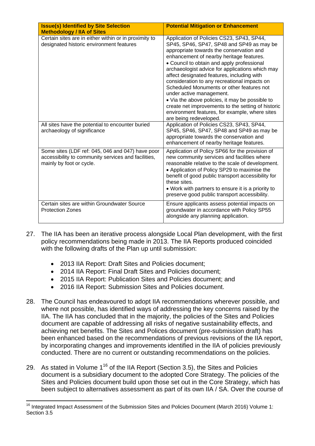| <b>Issue(s) Identified by Site Selection</b><br><b>Methodology / IIA of Sites</b>                                                   | <b>Potential Mitigation or Enhancement</b>                                                                                                                                                                                                                                                                                                                                                                                                                                                                                                                                                                                                  |
|-------------------------------------------------------------------------------------------------------------------------------------|---------------------------------------------------------------------------------------------------------------------------------------------------------------------------------------------------------------------------------------------------------------------------------------------------------------------------------------------------------------------------------------------------------------------------------------------------------------------------------------------------------------------------------------------------------------------------------------------------------------------------------------------|
| Certain sites are in either within or in proximity to<br>designated historic environment features                                   | Application of Policies CS23, SP43, SP44,<br>SP45, SP46, SP47, SP48 and SP49 as may be<br>appropriate towards the conservation and<br>enhancement of nearby heritage features.<br>• Council to obtain and apply professional<br>archaeologist advice for applications which may<br>affect designated features, including with<br>consideration to any recreational impacts on<br>Scheduled Monuments or other features not<br>under active management.<br>• Via the above policies, it may be possible to<br>create net improvements to the setting of historic<br>environment features, for example, where sites<br>are being redeveloped. |
| All sites have the potential to encounter buried<br>archaeology of significance                                                     | Application of Policies CS23, SP43, SP44,<br>SP45, SP46, SP47, SP48 and SP49 as may be<br>appropriate towards the conservation and<br>enhancement of nearby heritage features.                                                                                                                                                                                                                                                                                                                                                                                                                                                              |
| Some sites (LDF ref: 045, 046 and 047) have poor<br>accessibility to community services and facilities,<br>mainly by foot or cycle. | Application of Policy SP66 for the provision of<br>new community services and facilities where<br>reasonable relative to the scale of development.<br>• Application of Policy SP29 to maximise the<br>benefit of good public transport accessibility for<br>these sites.<br>• Work with partners to ensure it is a priority to<br>preserve good public transport accessibility.                                                                                                                                                                                                                                                             |
| Certain sites are within Groundwater Source<br><b>Protection Zones</b>                                                              | Ensure applicants assess potential impacts on<br>groundwater in accordance with Policy SP55<br>alongside any planning application.                                                                                                                                                                                                                                                                                                                                                                                                                                                                                                          |

- 27. The IIA has been an iterative process alongside Local Plan development, with the first policy recommendations being made in 2013. The IIA Reports produced coincided with the following drafts of the Plan up until submission:
	- 2013 IIA Report: Draft Sites and Policies document;
	- 2014 IIA Report: Final Draft Sites and Policies document;
	- 2015 IIA Report: Publication Sites and Policies document; and
	- 2016 IIA Report: Submission Sites and Policies document.
- 28. The Council has endeavoured to adopt IIA recommendations wherever possible, and where not possible, has identified ways of addressing the key concerns raised by the IIA. The IIA has concluded that in the majority, the policies of the Sites and Policies document are capable of addressing all risks of negative sustainability effects, and achieving net benefits. The Sites and Polices document (pre-submission draft) has been enhanced based on the recommendations of previous revisions of the IIA report, by incorporating changes and improvements identified in the IIA of policies previously conducted. There are no current or outstanding recommendations on the policies.
- 29. As stated in Volume  $1^{16}$  of the IIA Report (Section 3.5), the Sites and Policies document is a subsidiary document to the adopted Core Strategy. The policies of the Sites and Policies document build upon those set out in the Core Strategy, which has been subject to alternatives assessment as part of its own IIA / SA. Over the course of

l  $16$  Integrated Impact Assessment of the Submission Sites and Policies Document (March 2016) Volume 1: Section 3.5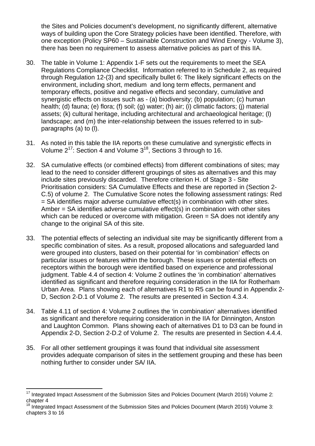the Sites and Policies document's development, no significantly different, alternative ways of building upon the Core Strategy policies have been identified. Therefore, with one exception (Policy SP60 – Sustainable Construction and Wind Energy - Volume 3), there has been no requirement to assess alternative policies as part of this IIA.

- 30. The table in Volume 1: Appendix 1-F sets out the requirements to meet the SEA Regulations Compliance Checklist. Information referred to in Schedule 2, as required through Regulation 12-(3) and specifically bullet 6: The likely significant effects on the environment, including short, medium and long term effects, permanent and temporary effects, positive and negative effects and secondary, cumulative and synergistic effects on issues such as - (a) biodiversity; (b) population; (c) human health; (d) fauna; (e) flora; (f) soil; (g) water; (h) air; (i) climatic factors; (j) material assets; (k) cultural heritage, including architectural and archaeological heritage; (l) landscape; and (m) the inter-relationship between the issues referred to in subparagraphs (a) to (l).
- 31. As noted in this table the IIA reports on these cumulative and synergistic effects in Volume 217: Section 4 and Volume 318, Sections 3 through to 16.
- 32. SA cumulative effects (or combined effects) from different combinations of sites; may lead to the need to consider different groupings of sites as alternatives and this may include sites previously discarded. Therefore criterion H. of Stage 3 - Site Prioritisation considers: SA Cumulative Effects and these are reported in (Section 2- C.5) of volume 2. The Cumulative Score notes the following assessment ratings: Red = SA identifies major adverse cumulative effect(s) in combination with other sites. Amber  $=$  SA identifies adverse cumulative effect(s) in combination with other sites which can be reduced or overcome with mitigation. Green = SA does not identify any change to the original SA of this site.
- 33. The potential effects of selecting an individual site may be significantly different from a specific combination of sites. As a result, proposed allocations and safeguarded land were grouped into clusters, based on their potential for 'in combination' effects on particular issues or features within the borough. These issues or potential effects on receptors within the borough were identified based on experience and professional judgment. Table 4.4 of section 4: Volume 2 outlines the 'in combination' alternatives identified as significant and therefore requiring consideration in the IIA for Rotherham Urban Area. Plans showing each of alternatives R1 to R5 can be found in Appendix 2- D, Section 2-D.1 of Volume 2. The results are presented in Section 4.3.4.
- 34. Table 4.11 of section 4: Volume 2 outlines the 'in combination' alternatives identified as significant and therefore requiring consideration in the IIA for Dinnington, Anston and Laughton Common. Plans showing each of alternatives D1 to D3 can be found in Appendix 2-D, Section 2-D.2 of Volume 2. The results are presented in Section 4.4.4.
- 35. For all other settlement groupings it was found that individual site assessment provides adequate comparison of sites in the settlement grouping and these has been nothing further to consider under SA/ IIA.

 $17$  Integrated Impact Assessment of the Submission Sites and Policies Document (March 2016) Volume 2: chapter 4

Integrated Impact Assessment of the Submission Sites and Policies Document (March 2016) Volume 3: chapters 3 to 16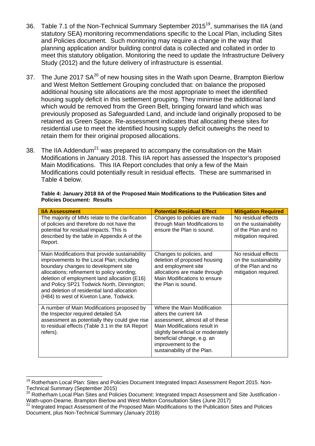- 36. Table 7.1 of the Non-Technical Summary September 2015<sup>19</sup>, summarises the IIA (and statutory SEA) monitoring recommendations specific to the Local Plan, including Sites and Policies document. Such monitoring may require a change in the way that planning application and/or building control data is collected and collated in order to meet this statutory obligation. Monitoring the need to update the Infrastructure Delivery Study (2012) and the future delivery of infrastructure is essential.
- 37. The June 2017 SA<sup>20</sup> of new housing sites in the Wath upon Dearne, Brampton Bierlow and West Melton Settlement Grouping concluded that: on balance the proposed additional housing site allocations are the most appropriate to meet the identified housing supply deficit in this settlement grouping. They minimise the additional land which would be removed from the Green Belt, bringing forward land which was previously proposed as Safeguarded Land, and include land originally proposed to be retained as Green Space. Re-assessment indicates that allocating these sites for residential use to meet the identified housing supply deficit outweighs the need to retain them for their original proposed allocations.
- 38. The IIA Addendum<sup>21</sup> was prepared to accompany the consultation on the Main Modifications in January 2018. This IIA report has assessed the Inspector's proposed Main Modifications. This IIA Report concludes that only a few of the Main Modifications could potentially result in residual effects. These are summarised in Table 4 below.

| <b>IIA Assessment</b>                                                                                                                                                                                                                                                                                                                                                     | <b>Potential Residual Effect</b>                                                                                                                                                                                                                 | <b>Mitigation Required</b>                                                                 |
|---------------------------------------------------------------------------------------------------------------------------------------------------------------------------------------------------------------------------------------------------------------------------------------------------------------------------------------------------------------------------|--------------------------------------------------------------------------------------------------------------------------------------------------------------------------------------------------------------------------------------------------|--------------------------------------------------------------------------------------------|
| The majority of MMs relate to the clarification<br>of policies and therefore do not have the<br>potential for residual impacts. This is<br>described by the table in Appendix A of the<br>Report.                                                                                                                                                                         | Changes to policies are made<br>through Main Modifications to<br>ensure the Plan is sound.                                                                                                                                                       | No residual effects<br>on the sustainability<br>of the Plan and no<br>mitigation required. |
| Main Modifications that provide sustainability<br>improvements to the Local Plan; including<br>boundary changes to development site<br>allocations; refinement to policy wording;<br>deletion of employment land allocation (E16)<br>and Policy SP21 Todwick North, Dinnington;<br>and deletion of residential land allocation<br>(H84) to west of Kiveton Lane, Todwick. | Changes to policies, and<br>deletion of proposed housing<br>and employment site<br>allocations are made through<br>Main Modifications to ensure<br>the Plan is sound.                                                                            | No residual effects<br>on the sustainability<br>of the Plan and no<br>mitigation required. |
| A number of Main Modifications proposed by<br>the Inspector required detailed SA<br>assessment as potentially they could give rise<br>to residual effects (Table 3.1 in the IIA Report<br>refers).                                                                                                                                                                        | Where the Main Modification<br>alters the current IIA<br>assessment, almost all of these<br>Main Modifications result in<br>slightly beneficial or moderately<br>beneficial change, e.g. an<br>improvement to the<br>sustainability of the Plan. |                                                                                            |

**Table 4: January 2018 IIA of the Proposed Main Modifications to the Publication Sites and Policies Document: Results** 

<sup>&</sup>lt;sup>19</sup> Rotherham Local Plan: Sites and Policies Document Integrated Impact Assessment Report 2015. Non-Technical Summary (September 2015)

<sup>20</sup> Rotherham Local Plan Sites and Policies Document: Integrated Impact Assessment and Site Justification -Wath-upon-Dearne, Brampton Bierlow and West Melton Consultation Sites (June 2017)

<sup>21</sup> Integrated Impact Assessment of the Proposed Main Modifications to the Publication Sites and Policies Document, plus Non-Technical Summary (January 2018)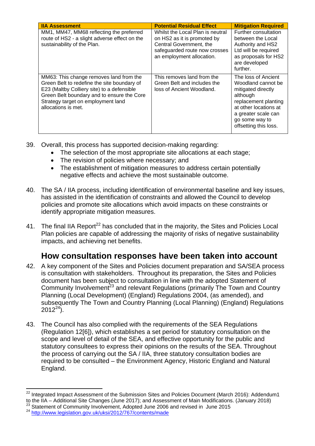| <b>IIA Assessment</b>                                                                                                                                                                                                                           | <b>Potential Residual Effect</b>                                                                                                                         | <b>Mitigation Required</b>                                                                                                                                                                     |
|-------------------------------------------------------------------------------------------------------------------------------------------------------------------------------------------------------------------------------------------------|----------------------------------------------------------------------------------------------------------------------------------------------------------|------------------------------------------------------------------------------------------------------------------------------------------------------------------------------------------------|
| MM1, MM47, MM68 reflecting the preferred<br>route of HS2 - a slight adverse effect on the<br>sustainability of the Plan.                                                                                                                        | Whilst the Local Plan is neutral<br>on HS2 as it is promoted by<br>Central Government, the<br>safeguarded route now crosses<br>an employment allocation. | Further consultation<br>between the Local<br>Authority and HS2<br>Ltd will be required<br>as proposals for HS2<br>are developed<br>further.                                                    |
| MM63: This change removes land from the<br>Green Belt to redefine the site boundary of<br>E23 (Maltby Colliery site) to a defensible<br>Green Belt boundary and to ensure the Core<br>Strategy target on employment land<br>allocations is met. | This removes land from the<br>Green Belt and includes the<br>loss of Ancient Woodland.                                                                   | The loss of Ancient<br>Woodland cannot be<br>mitigated directly<br>although<br>replacement planting<br>at other locations at<br>a greater scale can<br>go some way to<br>offsetting this loss. |

- 39. Overall, this process has supported decision-making regarding:
	- The selection of the most appropriate site allocations at each stage;
	- The revision of policies where necessary: and
	- The establishment of mitigation measures to address certain potentially negative effects and achieve the most sustainable outcome.
- 40. The SA / IIA process, including identification of environmental baseline and key issues, has assisted in the identification of constraints and allowed the Council to develop policies and promote site allocations which avoid impacts on these constraints or identify appropriate mitigation measures.
- 41. The final IIA Report<sup>22</sup> has concluded that in the majority, the Sites and Policies Local Plan policies are capable of addressing the majority of risks of negative sustainability impacts, and achieving net benefits.

# **How consultation responses have been taken into account**

- 42. A key component of the Sites and Policies document preparation and SA/SEA process is consultation with stakeholders. Throughout its preparation, the Sites and Policies document has been subject to consultation in line with the adopted Statement of Community Involvement<sup>23</sup> and relevant Regulations (primarily The Town and Country Planning (Local Development) (England) Regulations 2004, (as amended), and subsequently The Town and Country Planning (Local Planning) (England) Regulations  $2012^{24}$ ).
- 43. The Council has also complied with the requirements of the SEA Regulations (Regulation 12[6]), which establishes a set period for statutory consultation on the scope and level of detail of the SEA, and effective opportunity for the public and statutory consultees to express their opinions on the results of the SEA. Throughout the process of carrying out the SA / IIA, three statutory consultation bodies are required to be consulted – the Environment Agency, Historic England and Natural England.

l  $^{22}$  Integrated Impact Assessment of the Submission Sites and Policies Document (March 2016): Addendum1 to the IIA – Additional Site Changes (June 2017); and Assessment of Main Modifications. (January 2018)

<sup>&</sup>lt;sup>23</sup> Statement of Community Involvement, Adopted June 2006 and revised in June 2015  $^{24}$  http://www.legislation.gov.uk/uksi/2012/767/contents/made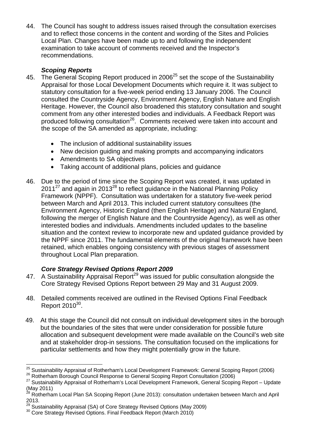44. The Council has sought to address issues raised through the consultation exercises and to reflect those concerns in the content and wording of the Sites and Policies Local Plan. Changes have been made up to and following the independent examination to take account of comments received and the Inspector's recommendations.

#### *Scoping Reports*

- 45. The General Scoping Report produced in 2006<sup>25</sup> set the scope of the Sustainability Appraisal for those Local Development Documents which require it. It was subject to statutory consultation for a five-week period ending 13 January 2006. The Council consulted the Countryside Agency, Environment Agency, English Nature and English Heritage. However, the Council also broadened this statutory consultation and sought comment from any other interested bodies and individuals. A Feedback Report was produced following consultation<sup>26</sup>. Comments received were taken into account and the scope of the SA amended as appropriate, including:
	- The inclusion of additional sustainability issues
	- New decision guiding and making prompts and accompanying indicators
	- Amendments to SA objectives
	- Taking account of additional plans, policies and guidance
- 46. Due to the period of time since the Scoping Report was created, it was updated in  $2011^{27}$  and again in 2013<sup>28</sup> to reflect guidance in the National Planning Policy Framework (NPPF). Consultation was undertaken for a statutory five-week period between March and April 2013. This included current statutory consultees (the Environment Agency, Historic England (then English Heritage) and Natural England, following the merger of English Nature and the Countryside Agency), as well as other interested bodies and individuals. Amendments included updates to the baseline situation and the context review to incorporate new and updated guidance provided by the NPPF since 2011. The fundamental elements of the original framework have been retained, which enables ongoing consistency with previous stages of assessment throughout Local Plan preparation.

#### *Core Strategy Revised Options Report 2009*

- 47. A Sustainability Appraisal Report<sup>29</sup> was issued for public consultation alongside the Core Strategy Revised Options Report between 29 May and 31 August 2009.
- 48. Detailed comments received are outlined in the Revised Options Final Feedback Report  $2010^{30}$ .
- 49. At this stage the Council did not consult on individual development sites in the borough but the boundaries of the sites that were under consideration for possible future allocation and subsequent development were made available on the Council's web site and at stakeholder drop-in sessions. The consultation focused on the implications for particular settlements and how they might potentially grow in the future.

l <sup>25</sup> Sustainability Appraisal of Rotherham's Local Development Framework: General Scoping Report (2006)<br><sup>26</sup> Rotherham Borough Council Response to General Scoping Report Consultation (2006)<br><sup>27</sup> Sustainability Appraisal of

<sup>(</sup>May 2011)

 $^{28}$  Rotherham Local Plan SA Scoping Report (June 2013): consultation undertaken between March and April 2013.

<sup>&</sup>lt;sup>29</sup> Sustainability Appraisal (SA) of Core Strategy Revised Options (May 2009)<br><sup>30</sup> Core Strategy Revised Options. Final Feedback Report (March 2010)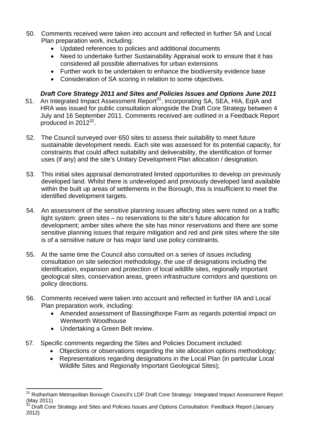- 50. Comments received were taken into account and reflected in further SA and Local Plan preparation work, including:
	- Updated references to policies and additional documents
	- Need to undertake further Sustainability Appraisal work to ensure that it has considered all possible alternatives for urban extensions
	- Further work to be undertaken to enhance the biodiversity evidence base
	- Consideration of SA scoring in relation to some objectives.

### *Draft Core Strategy 2011 and Sites and Policies Issues and Options June 2011*

- 51. An Integrated Impact Assessment Report<sup>31</sup>, incorporating SA, SEA, HIA, EqIA and HRA was issued for public consultation alongside the Draft Core Strategy between 4 July and 16 September 2011. Comments received are outlined in a Feedback Report produced in  $2012^{32}$ .
- 52. The Council surveyed over 650 sites to assess their suitability to meet future sustainable development needs. Each site was assessed for its potential capacity, for constraints that could affect suitability and deliverability, the identification of former uses (if any) and the site's Unitary Development Plan allocation / designation.
- 53. This initial sites appraisal demonstrated limited opportunities to develop on previously developed land. Whilst there is undeveloped and previously developed land available within the built up areas of settlements in the Borough, this is insufficient to meet the identified development targets.
- 54. An assessment of the sensitive planning issues affecting sites were noted on a traffic light system: green sites – no reservations to the site's future allocation for development; amber sites where the site has minor reservations and there are some sensitive planning issues that require mitigation and red and pink sites where the site is of a sensitive nature or has major land use policy constraints.
- 55. At the same time the Council also consulted on a series of issues including consultation on site selection methodology, the use of designations including the identification, expansion and protection of local wildlife sites, regionally important geological sites, conservation areas, green infrastructure corridors and questions on policy directions.
- 56. Comments received were taken into account and reflected in further IIA and Local Plan preparation work, including:
	- Amended assessment of Bassingthorpe Farm as regards potential impact on Wentworth Woodhouse
	- Undertaking a Green Belt review.

- 57. Specific comments regarding the Sites and Policies Document included:
	- Objections or observations regarding the site allocation options methodology;
	- Representations regarding designations in the Local Plan (in particular Local Wildlife Sites and Regionally Important Geological Sites);

<sup>&</sup>lt;sup>31</sup> Rotherham Metropolitan Borough Council's LDF Draft Core Strategy: Integrated Impact Assessment Report (May 2011)

Draft Core Strategy and Sites and Policies Issues and Options Consultation: Feedback Report (January 2012)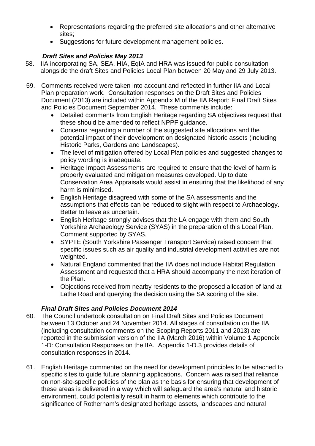- Representations regarding the preferred site allocations and other alternative sites;
- Suggestions for future development management policies.

#### *Draft Sites and Policies May 2013*

- 58. IIA incorporating SA, SEA, HIA, EqIA and HRA was issued for public consultation alongside the draft Sites and Policies Local Plan between 20 May and 29 July 2013.
- 59. Comments received were taken into account and reflected in further IIA and Local Plan preparation work. Consultation responses on the Draft Sites and Policies Document (2013) are included within Appendix M of the IIA Report: Final Draft Sites and Policies Document September 2014. These comments include:
	- Detailed comments from English Heritage regarding SA objectives request that these should be amended to reflect NPPF guidance.
	- Concerns regarding a number of the suggested site allocations and the potential impact of their development on designated historic assets (including Historic Parks, Gardens and Landscapes).
	- The level of mitigation offered by Local Plan policies and suggested changes to policy wording is inadequate.
	- Heritage Impact Assessments are required to ensure that the level of harm is properly evaluated and mitigation measures developed. Up to date Conservation Area Appraisals would assist in ensuring that the likelihood of any harm is minimised.
	- English Heritage disagreed with some of the SA assessments and the assumptions that effects can be reduced to slight with respect to Archaeology. Better to leave as uncertain.
	- English Heritage strongly advises that the LA engage with them and South Yorkshire Archaeology Service (SYAS) in the preparation of this Local Plan. Comment supported by SYAS.
	- SYPTE (South Yorkshire Passenger Transport Service) raised concern that specific issues such as air quality and industrial development activities are not weighted.
	- Natural England commented that the IIA does not include Habitat Regulation Assessment and requested that a HRA should accompany the next iteration of the Plan.
	- Objections received from nearby residents to the proposed allocation of land at Lathe Road and querying the decision using the SA scoring of the site.

#### *Final Draft Sites and Policies Document 2014*

- 60. The Council undertook consultation on Final Draft Sites and Policies Document between 13 October and 24 November 2014. All stages of consultation on the IIA (including consultation comments on the Scoping Reports 2011 and 2013) are reported in the submission version of the IIA (March 2016) within Volume 1 Appendix 1-D: Consultation Responses on the IIA. Appendix 1-D.3 provides details of consultation responses in 2014.
- 61. English Heritage commented on the need for development principles to be attached to specific sites to guide future planning applications. Concern was raised that reliance on non-site-specific policies of the plan as the basis for ensuring that development of these areas is delivered in a way which will safeguard the area's natural and historic environment, could potentially result in harm to elements which contribute to the significance of Rotherham's designated heritage assets, landscapes and natural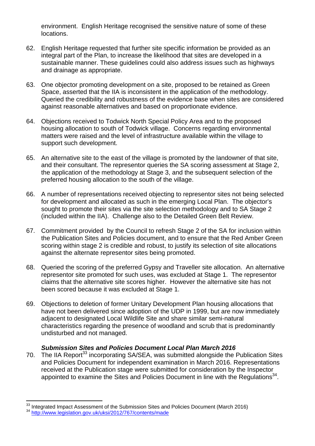environment. English Heritage recognised the sensitive nature of some of these locations.

- 62. English Heritage requested that further site specific information be provided as an integral part of the Plan, to increase the likelihood that sites are developed in a sustainable manner. These guidelines could also address issues such as highways and drainage as appropriate.
- 63. One objector promoting development on a site, proposed to be retained as Green Space, asserted that the IIA is inconsistent in the application of the methodology. Queried the credibility and robustness of the evidence base when sites are considered against reasonable alternatives and based on proportionate evidence.
- 64. Objections received to Todwick North Special Policy Area and to the proposed housing allocation to south of Todwick village. Concerns regarding environmental matters were raised and the level of infrastructure available within the village to support such development.
- 65. An alternative site to the east of the village is promoted by the landowner of that site, and their consultant. The representor queries the SA scoring assessment at Stage 2, the application of the methodology at Stage 3, and the subsequent selection of the preferred housing allocation to the south of the village.
- 66. A number of representations received objecting to representor sites not being selected for development and allocated as such in the emerging Local Plan. The objector's sought to promote their sites via the site selection methodology and to SA Stage 2 (included within the IIA). Challenge also to the Detailed Green Belt Review.
- 67. Commitment provided by the Council to refresh Stage 2 of the SA for inclusion within the Publication Sites and Policies document, and to ensure that the Red Amber Green scoring within stage 2 is credible and robust, to justify its selection of site allocations against the alternate representor sites being promoted.
- 68. Queried the scoring of the preferred Gypsy and Traveller site allocation. An alternative representor site promoted for such uses, was excluded at Stage 1. The representor claims that the alternative site scores higher. However the alternative site has not been scored because it was excluded at Stage 1.
- 69. Objections to deletion of former Unitary Development Plan housing allocations that have not been delivered since adoption of the UDP in 1999, but are now immediately adjacent to designated Local Wildlife Site and share similar semi-natural characteristics regarding the presence of woodland and scrub that is predominantly undisturbed and not managed.

#### *Submission Sites and Policies Document Local Plan March 2016*

70. The IIA Report<sup>33</sup> incorporating SA/SEA, was submitted alongside the Publication Sites and Policies Document for independent examination in March 2016. Representations received at the Publication stage were submitted for consideration by the Inspector appointed to examine the Sites and Policies Document in line with the Requiations<sup>34</sup>.

<sup>&</sup>lt;sup>33</sup> Integrated Impact Assessment of the Submission Sites and Policies Document (March 2016)<br><sup>34</sup> <u>http://www.legislation.gov.uk/uksi/2012/767/contents/made</u>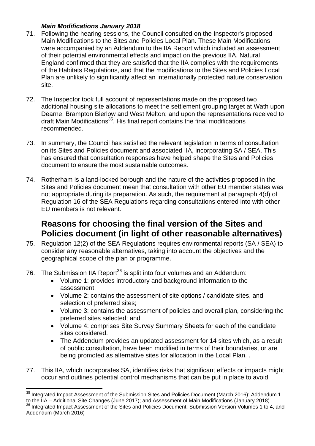#### *Main Modifications January 2018*

- 71. Following the hearing sessions, the Council consulted on the Inspector's proposed Main Modifications to the Sites and Policies Local Plan. These Main Modifications were accompanied by an Addendum to the IIA Report which included an assessment of their potential environmental effects and impact on the previous IIA. Natural England confirmed that they are satisfied that the IIA complies with the requirements of the Habitats Regulations, and that the modifications to the Sites and Policies Local Plan are unlikely to significantly affect an internationally protected nature conservation site.
- 72. The Inspector took full account of representations made on the proposed two additional housing site allocations to meet the settlement grouping target at Wath upon Dearne, Brampton Bierlow and West Melton; and upon the representations received to draft Main Modifications35. His final report contains the final modifications recommended.
- 73. In summary, the Council has satisfied the relevant legislation in terms of consultation on its Sites and Policies document and associated IIA, incorporating SA / SEA. This has ensured that consultation responses have helped shape the Sites and Policies document to ensure the most sustainable outcomes.
- 74. Rotherham is a land-locked borough and the nature of the activities proposed in the Sites and Policies document mean that consultation with other EU member states was not appropriate during its preparation. As such, the requirement at paragraph 4(d) of Regulation 16 of the SEA Regulations regarding consultations entered into with other EU members is not relevant.

# **Reasons for choosing the final version of the Sites and Policies document (in light of other reasonable alternatives)**

- 75. Regulation 12(2) of the SEA Regulations requires environmental reports (SA / SEA) to consider any reasonable alternatives, taking into account the objectives and the geographical scope of the plan or programme.
- 76. The Submission IIA Report<sup>36</sup> is split into four volumes and an Addendum:
	- Volume 1: provides introductory and background information to the assessment;
	- Volume 2: contains the assessment of site options / candidate sites, and selection of preferred sites;
	- Volume 3: contains the assessment of policies and overall plan, considering the preferred sites selected; and
	- Volume 4: comprises Site Survey Summary Sheets for each of the candidate sites considered.
	- The Addendum provides an updated assessment for 14 sites which, as a result of public consultation, have been modified in terms of their boundaries, or are being promoted as alternative sites for allocation in the Local Plan. .
- 77. This IIA, which incorporates SA, identifies risks that significant effects or impacts might occur and outlines potential control mechanisms that can be put in place to avoid,

 $35$  Integrated Impact Assessment of the Submission Sites and Policies Document (March 2016): Addendum 1

to the IIA – Additional Site Changes (June 2017); and Assessment of Main Modifications (January 2018)<br><sup>36</sup> Integrated Impact Assessment of the Sites and Policies Document: Submission Version Volumes 1 to 4, and Addendum (March 2016)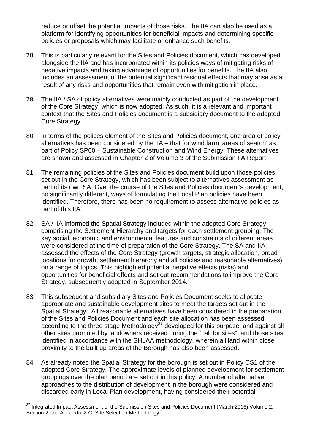reduce or offset the potential impacts of those risks. The IIA can also be used as a platform for identifying opportunities for beneficial impacts and determining specific policies or proposals which may facilitate or enhance such benefits.

- 78. This is particularly relevant for the Sites and Policies document, which has developed alongside the IIA and has incorporated within its policies ways of mitigating risks of negative impacts and taking advantage of opportunities for benefits. The IIA also includes an assessment of the potential significant residual effects that may arise as a result of any risks and opportunities that remain even with mitigation in place.
- 79. The IIA / SA of policy alternatives were mainly conducted as part of the development of the Core Strategy, which is now adopted. As such, it is a relevant and important context that the Sites and Policies document is a subsidiary document to the adopted Core Strategy.
- 80. In terms of the polices element of the Sites and Policies document, one area of policy alternatives has been considered by the IIA – that for wind farm 'areas of search' as part of Policy SP60 – Sustainable Construction and Wind Energy. These alternatives are shown and assessed in Chapter 2 of Volume 3 of the Submission IIA Report.
- 81. The remaining policies of the Sites and Policies document build upon those policies set out in the Core Strategy, which has been subject to alternatives assessment as part of its own SA. Over the course of the Sites and Policies document's development, no significantly different, ways of formulating the Local Plan policies have been identified. Therefore, there has been no requirement to assess alternative policies as part of this IIA.
- 82. SA / IIA informed the Spatial Strategy included within the adopted Core Strategy, comprising the Settlement Hierarchy and targets for each settlement grouping. The key social, economic and environmental features and constraints of different areas were considered at the time of preparation of the Core Strategy. The SA and IIA assessed the effects of the Core Strategy (growth targets, strategic allocation, broad locations for growth, settlement hierarchy and all policies and reasonable alternatives) on a range of topics. This highlighted potential negative effects (risks) and opportunities for beneficial effects and set out recommendations to improve the Core Strategy, subsequently adopted in September 2014.
- 83. This subsequent and subsidiary Sites and Policies Document seeks to allocate appropriate and sustainable development sites to meet the targets set out in the Spatial Strategy. All reasonable alternatives have been considered in the preparation of the Sites and Policies Document and each site allocation has been assessed according to the three stage Methodology $37$  developed for this purpose, and against all other sites promoted by landowners received during the "call for sites"; and those sites identified in accordance with the SHLAA methodology, wherein all land within close proximity to the built up areas of the Borough has also been assessed.
- 84. As already noted the Spatial Strategy for the borough is set out in Policy CS1 of the adopted Core Strategy, The approximate levels of planned development for settlement groupings over the plan period are set out in this policy. A number of alternative approaches to the distribution of development in the borough were considered and discarded early in Local Plan development, having considered their potential

l  $37$  Integrated Impact Assessment of the Submission Sites and Policies Document (March 2016) Volume 2: Section 2 and Appendix 2-C: Site Selection Methodology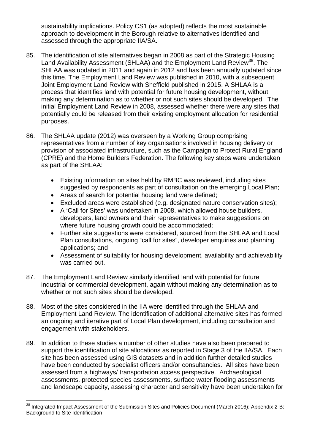sustainability implications. Policy CS1 (as adopted) reflects the most sustainable approach to development in the Borough relative to alternatives identified and assessed through the appropriate IIA/SA.

- 85. The identification of site alternatives began in 2008 as part of the Strategic Housing Land Availability Assessment (SHLAA) and the Employment Land Review<sup>38</sup>. The SHLAA was updated in 2011 and again in 2012 and has been annually updated since this time. The Employment Land Review was published in 2010, with a subsequent Joint Employment Land Review with Sheffield published in 2015. A SHLAA is a process that identifies land with potential for future housing development, without making any determination as to whether or not such sites should be developed. The initial Employment Land Review in 2008, assessed whether there were any sites that potentially could be released from their existing employment allocation for residential purposes.
- 86. The SHLAA update (2012) was overseen by a Working Group comprising representatives from a number of key organisations involved in housing delivery or provision of associated infrastructure, such as the Campaign to Protect Rural England (CPRE) and the Home Builders Federation. The following key steps were undertaken as part of the SHLAA:
	- Existing information on sites held by RMBC was reviewed, including sites suggested by respondents as part of consultation on the emerging Local Plan;
	- Areas of search for potential housing land were defined;
	- Excluded areas were established (e.g. designated nature conservation sites);
	- A 'Call for Sites' was undertaken in 2008, which allowed house builders, developers, land owners and their representatives to make suggestions on where future housing growth could be accommodated;
	- Further site suggestions were considered, sourced from the SHLAA and Local Plan consultations, ongoing "call for sites", developer enquiries and planning applications; and
	- Assessment of suitability for housing development, availability and achievability was carried out.
- 87. The Employment Land Review similarly identified land with potential for future industrial or commercial development, again without making any determination as to whether or not such sites should be developed.
- 88. Most of the sites considered in the IIA were identified through the SHLAA and Employment Land Review. The identification of additional alternative sites has formed an ongoing and iterative part of Local Plan development, including consultation and engagement with stakeholders.
- 89. In addition to these studies a number of other studies have also been prepared to support the identification of site allocations as reported in Stage 3 of the IIA/SA. Each site has been assessed using GIS datasets and in addition further detailed studies have been conducted by specialist officers and/or consultancies. All sites have been assessed from a highways/ transportation access perspective. Archaeological assessments, protected species assessments, surface water flooding assessments and landscape capacity, assessing character and sensitivity have been undertaken for

 $38$  Integrated Impact Assessment of the Submission Sites and Policies Document (March 2016): Appendix 2-B: Background to Site Identification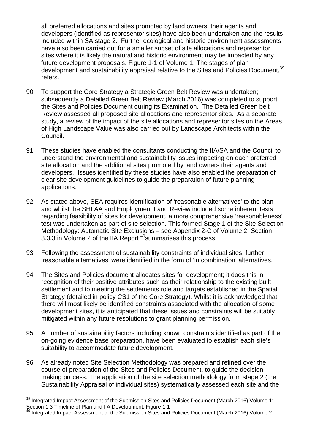all preferred allocations and sites promoted by land owners, their agents and developers (identified as representor sites) have also been undertaken and the results included within SA stage 2. Further ecological and historic environment assessments have also been carried out for a smaller subset of site allocations and representor sites where it is likely the natural and historic environment may be impacted by any future development proposals. Figure 1-1 of Volume 1: The stages of plan development and sustainability appraisal relative to the Sites and Policies Document,<sup>39</sup> refers.

- 90. To support the Core Strategy a Strategic Green Belt Review was undertaken; subsequently a Detailed Green Belt Review (March 2016) was completed to support the Sites and Policies Document during its Examination. The Detailed Green belt Review assessed all proposed site allocations and representor sites. As a separate study, a review of the impact of the site allocations and representor sites on the Areas of High Landscape Value was also carried out by Landscape Architects within the Council.
- 91. These studies have enabled the consultants conducting the IIA/SA and the Council to understand the environmental and sustainability issues impacting on each preferred site allocation and the additional sites promoted by land owners their agents and developers. Issues identified by these studies have also enabled the preparation of clear site development guidelines to guide the preparation of future planning applications.
- 92. As stated above, SEA requires identification of 'reasonable alternatives' to the plan and whilst the SHLAA and Employment Land Review included some inherent tests regarding feasibility of sites for development, a more comprehensive 'reasonableness' test was undertaken as part of site selection. This formed Stage 1 of the Site Selection Methodology: Automatic Site Exclusions – see Appendix 2-C of Volume 2. Section 3.3.3 in Volume 2 of the IIA Report<sup>40</sup> summarises this process.
- 93. Following the assessment of sustainability constraints of individual sites, further 'reasonable alternatives' were identified in the form of 'in combination' alternatives.
- 94. The Sites and Policies document allocates sites for development; it does this in recognition of their positive attributes such as their relationship to the existing built settlement and to meeting the settlements role and targets established in the Spatial Strategy (detailed in policy CS1 of the Core Strategy). Whilst it is acknowledged that there will most likely be identified constraints associated with the allocation of some development sites, it is anticipated that these issues and constraints will be suitably mitigated within any future resolutions to grant planning permission.
- 95. A number of sustainability factors including known constraints identified as part of the on-going evidence base preparation, have been evaluated to establish each site's suitability to accommodate future development.
- 96. As already noted Site Selection Methodology was prepared and refined over the course of preparation of the Sites and Policies Document, to guide the decisionmaking process. The application of the site selection methodology from stage 2 (the Sustainability Appraisal of individual sites) systematically assessed each site and the

l <sup>39</sup> Integrated Impact Assessment of the Submission Sites and Policies Document (March 2016) Volume 1: Section 1.3 Timeline of Plan and IIA Development; Figure 1-1

 $40$  Integrated Impact Assessment of the Submission Sites and Policies Document (March 2016) Volume 2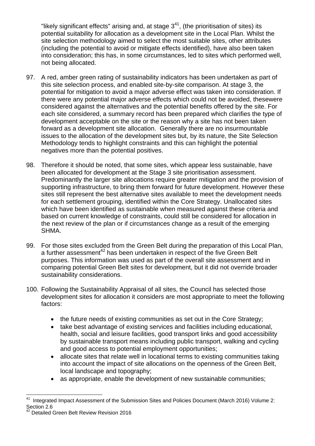"likely significant effects" arising and, at stage  $3<sup>41</sup>$ , (the prioritisation of sites) its potential suitability for allocation as a development site in the Local Plan. Whilst the site selection methodology aimed to select the most suitable sites, other attributes (including the potential to avoid or mitigate effects identified), have also been taken into consideration; this has, in some circumstances, led to sites which performed well, not being allocated.

- 97. A red, amber green rating of sustainability indicators has been undertaken as part of this site selection process, and enabled site-by-site comparison. At stage 3, the potential for mitigation to avoid a major adverse effect was taken into consideration. If there were any potential major adverse effects which could not be avoided, thesewere considered against the alternatives and the potential benefits offered by the site. For each site considered, a summary record has been prepared which clarifies the type of development acceptable on the site or the reason why a site has not been taken forward as a development site allocation. Generally there are no insurmountable issues to the allocation of the development sites but, by its nature, the Site Selection Methodology tends to highlight constraints and this can highlight the potential negatives more than the potential positives.
- 98. Therefore it should be noted, that some sites, which appear less sustainable, have been allocated for development at the Stage 3 site prioritisation assessment. Predominantly the larger site allocations require greater mitigation and the provision of supporting infrastructure, to bring them forward for future development. However these sites still represent the best alternative sites available to meet the development needs for each settlement grouping, identified within the Core Strategy. Unallocated sites which have been identified as sustainable when measured against these criteria and based on current knowledge of constraints, could still be considered for allocation in the next review of the plan or if circumstances change as a result of the emerging SHMA.
- 99. For those sites excluded from the Green Belt during the preparation of this Local Plan, a further assessment<sup>42</sup> has been undertaken in respect of the five Green Belt purposes. This information was used as part of the overall site assessment and in comparing potential Green Belt sites for development, but it did not override broader sustainability considerations.
- 100. Following the Sustainability Appraisal of all sites, the Council has selected those development sites for allocation it considers are most appropriate to meet the following factors:
	- the future needs of existing communities as set out in the Core Strategy;
	- take best advantage of existing services and facilities including educational, health, social and leisure facilities, good transport links and good accessibility by sustainable transport means including public transport, walking and cycling and good access to potential employment opportunities;
	- allocate sites that relate well in locational terms to existing communities taking into account the impact of site allocations on the openness of the Green Belt, local landscape and topography;
	- as appropriate, enable the development of new sustainable communities;

l Integrated Impact Assessment of the Submission Sites and Policies Document (March 2016) Volume 2: Section 2.6

<sup>&</sup>lt;sup>42</sup> Detailed Green Belt Review Revision 2016